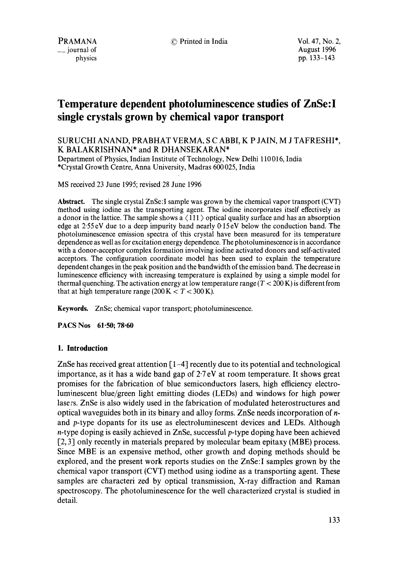# **Temperature dependent photoluminescence studies of ZnSe:I single crystals grown by chemical vapor transport**

# SURUCHI ANAND, PRABHAT VERMA, S C ABBI, K P JAIN, M J TAFRESHI\*, K BALAKRISHNAN\* and R DHANSEKARAN\*

Department of Physics, Indian-Institute of Technology, New Delhi 110 016, India \*Crystal Growth Centre, Anna University, Madras 600025, India

MS received 23 June 1995; revised 28 June 1996

**Abstract.** The single crystal ZnSe:I sample was grown by the chemical vapor transport (CVT) ¢nethod using iodine as the transporting agent. The iodine incorporates itself effectively as a donor in the lattice. The sample shows a  $\langle 111 \rangle$  optical quality surface and has an absorption edge at 2-55 eV due to a deep impurity band nearly 0'15 eV below the conduction band. The photoluminescence emission spectra of this crystal have been measured for its temperature dependence as well as for excitation energy dependence. The photoluminescence is in accordance with a donor-acceptor complex formation involving iodine activated donors and self-activated acceptors. The configuration coordinate model has been used to explain the temperature dependent changes in the peak position and the bandwidth of the emission band. The decrease in luminescence efficiency with increasing temperature is explained by using a simple model for thermal quenching. The activation energy at low temperature range ( $T < 200$  K) is different from that at high temperature range (200 K  $< T < 300$  K).

**Keywords.** ZnSe; chemical vapor transport; photoluminescence.

**PACS Nos 61.50; 78.60** 

## **I. Introduction**

ZnSe has received great attention [1-4] recently due to its potential and technological importance, as it has a wide band gap of  $2.7 \text{ eV}$  at room temperature. It shows great promises for the fabrication of blue semiconductors lasers, high efficiency electroluminescent blue/green light emitting diodes (LEDs) and windows for high power lasers. ZnSe is also widely used in the fabrication of modulated heterostructures and optical waveguides both in its binary and alloy forms. ZnSe needs incorporation of nand p-type dopants for its use as electroluminescent devices and LEDs. Although n-type doping is easily achieved in ZnSe, successful p-type doping have been achieved [2, 3] only recently in materials prepared by molecular beam epitaxy (MBE) process. Since MBE is an expensive method, other growth and doping methods should be explored, and the present work reports studies on the ZnSe:I samples grown by the chemical vapor transport (CVT) method using iodine as a transporting agent. These samples are characteri zed by optical transmission, X-ray diffraction and Raman spectroscopy. The photoluminescence for the well characterized crystal is studied in detail.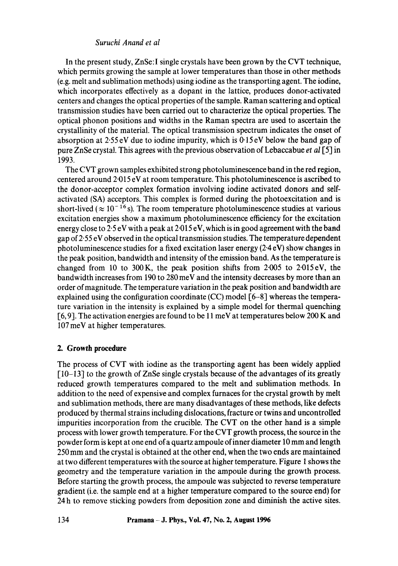# *Suruchi Anand et al*

In the present study, ZnSe:I single crystals have been grown by the CVT technique, which permits growing the sample at lower temperatures than those in other methods (e.g. melt and sublimation methods) using iodine as the transporting agent. The iodine, which incorporates effectively as a dopant in the lattice, produces donor-activated centers and changes the optical properties of the sample. Raman scattering and optical transmission studies have been carried out to characterize the optical properties. The optical phonon positions and widths in the Raman spectra are used to ascertain the crystallinity of the material. The optical transmission spectrum indicates the onset of absorption at 2.55 eV due to iodine impurity, which is 0-15 eV below the band gap of pure ZnSe crystal. This agrees with the previous observation of Lebaccabue *et al* [5] in 1993.

The CVT grown samples exhibited strong photoluminescence band in the red region, centered around 2"015 eV at room temperature. This photoluminescence is ascribed to the donor-acceptor complex formation involving iodine activated donors and selfactivated (SA) acceptors. This complex is formed during the photoexcitation and is short-lived ( $\approx 10^{-16}$  s). The room temperature photoluminescence studies at various excitation energies show a maximum photoluminescence efficiency for the excitation energy close to  $2.5 \text{ eV}$  with a peak at  $2.015 \text{ eV}$ , which is in good agreement with the band gap of 2-55 eV observed in the optical transmission studies. The temperature dependent photoluminescence studies for a fixed excitation laser energy (2-4 eV) show changes in the peak position, bandwidth and intensity of the emission band. As the temperature is changed from 10 to 300K, the peak position shifts from 2.005 to 2.015eV, the bandwidth increases from 190 to 280 meV and the intensity decreases by more than an order of magnitude. The temperature variation in the peak position and bandwidth are explained using the configuration coordinate (CC) model [6-8] whereas the temperature variation in the intensity is explained by a simple model for thermal quenching [6, 9]. The activation energies are found to be 11 meV at temperatures below 200 K and 107 meV at higher temperatures.

# **2. Growth procedure**

The process of CVT with iodine as the transporting agent has been widely applied [10-13] to the growth of ZnSe single crystals because of the advantages of its greatly reduced growth temperatures compared to the melt and sublimation methods. In addition to the need of expensive and complex furnaces for the crystal growth by melt and sublimation methods, there are many disadvantages of these methods, like defects produced by thermal strains including dislocations, fracture or twins and uncontrolled impurities incorporation from the crucible. The CVT on the other hand is a simple process with lower growth temperature. For the CVT growth process, the source in the powder form is kept at one end of a quartz ampoule of inner diameter 10 mm and length 250 mm and the crystal is obtained at the other end, when the two ends are maintained at two different temperatures with the source at higher temperature. Figure 1 shows the geometry and the temperature variation in the ampoule during the growth process. Before starting the growth process, the ampoule was subjected to reverse temperature gradient (i.e. the sample end at a higher temperature compared to the source end) for 24 h to remove sticking powders from deposition zone and diminish the active sites.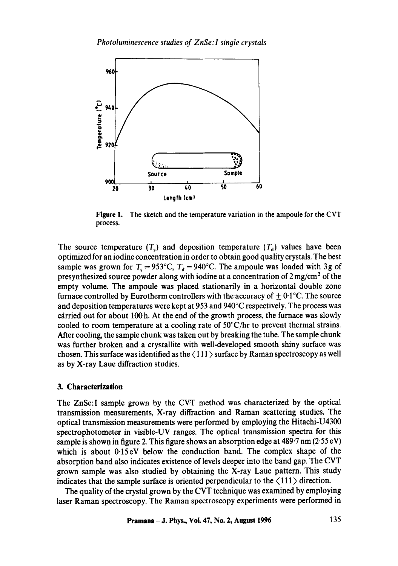

**Figure** 1. The sketch and the temperature variation in the ampoule for the CVT process.

The source temperature  $(T<sub>c</sub>)$  and deposition temperature  $(T<sub>d</sub>)$  values have been optimized for an iodine concentration in order to obtain good quality crystals. The best sample was grown for  $T_s = 953^{\circ}\text{C}$ ,  $T_d = 940^{\circ}\text{C}$ . The ampoule was loaded with 3g of presynthesized source powder along with iodine at a concentration of  $2 \text{ mg/cm}^3$  of the empty volume. The ampoule was placed stationarily in a horizontal double zone furnace controlled by Eurotherm controllers with the accuracy of  $\pm 0.1$  °C. The source and deposition temperatures were kept at 953 and 940°C respectively. The process was carried out for about 100 h. At the end of the growth process, the furnace was slowly cooled to room temperature at a cooling rate of  $50^{\circ}$ C/hr to prevent thermal strains. After cooling, the sample chunk was taken out by breaking the tube. The sample chunk was further broken and a crystallite with well-developed smooth shiny surface was chosen. This surface was identified as the  $\langle 111 \rangle$  surface by Raman spectroscopy as well as by X-ray Laue diffraction studies.

## **3. Characterization**

The ZnSe:I sample grown by the CVT method was characterized by the optical transmission measurements, X-ray diffraction and Raman scattering studies. The optical transmission measurements were performed by employing the Hitachi-U4300 spectrophotometer in visible-UV ranges. The optical transmission spectra for this sample is shown in figure 2. This figure shows an absorption edge at  $489.7 \text{ nm}$  (2.55 eV) which is about 0-15eV below the conduction band. The complex shape of the absorption band also indicates existence of levels deeper into the band gap. The CVT grown sample was also studied by obtaining the X-ray Laue pattern. This study indicates that the sample surface is oriented perpendicular to the  $\langle 111 \rangle$  direction.

The quality of the crystal grown by the CVT technique was examined by employing laser Raman spectroscopy. The Raman spectroscopy experiments were performed in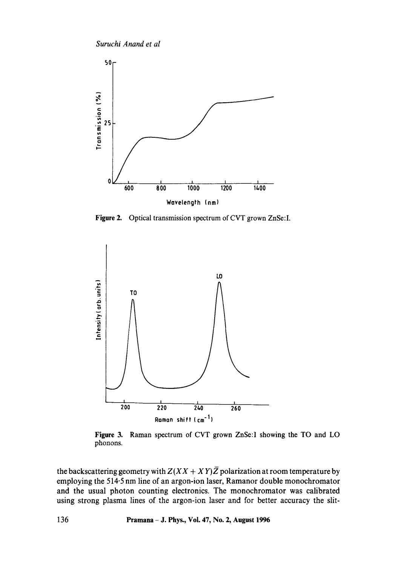*Suruchi Anand et al* 



**Figure** 2. Optical transmission spectrum of CVT grown ZnSe:I.



**Figure** 3. Raman spectrum of CVT grown ZnSe:I showing the TO and LO phonons.

the backscattering geometry with  $Z(XX + XY)\overline{Z}$  polarization at room temperature by employing the 514.5 nm line of an argon-ion laser, Ramanor double monochromator and the usual photon counting electronics. The monochromator was calibrated using strong plasma lines of the argon-ion laser and for better accuracy the slit-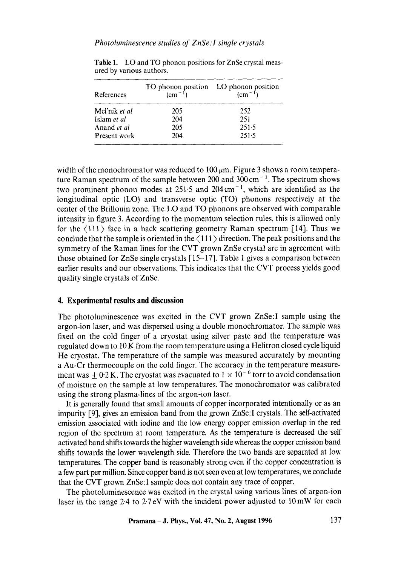| References    | $\frac{1}{2}$ (cm <sup>-1</sup> ) | TO phonon position LO phonon position<br>$\rm (cm^{-1})$ |
|---------------|-----------------------------------|----------------------------------------------------------|
| Mel'nik et al | 205                               | 252                                                      |
| Islam et al   | 204                               | 251                                                      |
| Anand et al   | 205                               | 251.5                                                    |
| Present work  | 204                               | 251.5                                                    |

**Table** 1. LO and TO phonon positions for ZnSe crystal measured by various authors.

width of the monochromator was reduced to 100  $\mu$ m. Figure 3 shows a room temperature Raman spectrum of the sample between 200 and  $300 \text{ cm}^{-1}$ . The spectrum shows two prominent phonon modes at  $251.5$  and  $204 \text{ cm}^{-1}$ , which are identified as the longitudinal optic (LO) and transverse optic (TO) phonons respectively at the center of the Brillouin zone. The LO and TO phonons are observed with comparable intensity in figure 3. According to the momentum selection rules, this is allowed only for the  $\langle 111 \rangle$  face in a back scattering geometry Raman spectrum [14]. Thus we conclude that the sample is oriented in the  $\langle 111 \rangle$  direction. The peak positions and the symmetry of the Raman lines for the CVT grown ZnSe crystal are in agreement with those obtained for ZnSe single crystals [15-17]. Table 1 gives a comparison between earlier results and our observations. This indicates that the CVT process yields good quality single crystals of ZnSe.

## **4. Experimental results and discussion**

The photoluminescence was excited in the CVT grown ZnSe:I sample using the argon-ion laser, and was dispersed using a double monochromator. The sample was fixed on the cold finger of a cryostat using silver paste and the temperature was regulated down to 10 K fromthe room temperature using a Helitron closed cycle liquid He cryostat. The temperature of the sample was measured accurately by mounting a Au-Cr thermocouple on the cold finger. The accuracy in the temperature measurement was  $\pm$  0.2 K. The cryostat was evacuated to 1  $\times$  10<sup>-6</sup> torr to avoid condensation of moisture on the sample at low temperatures. The monochromator was calibrated using the strong plasma-lines of the argon-ion laser.

It is generally found that small amounts of copper incorporated intentionally or as an impurity [9], gives an emission band from the grown ZnSe:I crystals. The self-activated emission associated with iodine and the low energy copper emission overlap in the red region of the spectrum at room temperature. As the temperature is decreased the self activated band shifts towards the higher wavelength side whereas the copper emission band shifts towards the lower wavelength side. Therefore the two bands are separated at low temperatures. The copper band is reasonably strong even if the copper concentration is a few part per million. Since copper band is not seen even at low temperatures, we conclude that the CVT grown ZnSe: I sample does not contain any trace of copper.

The photoluminescence was excited in the crystal using various lines of argon-ion laser in the range 2.4 to  $2.7 \text{ eV}$  with the incident power adjusted to  $10 \text{ mW}$  for each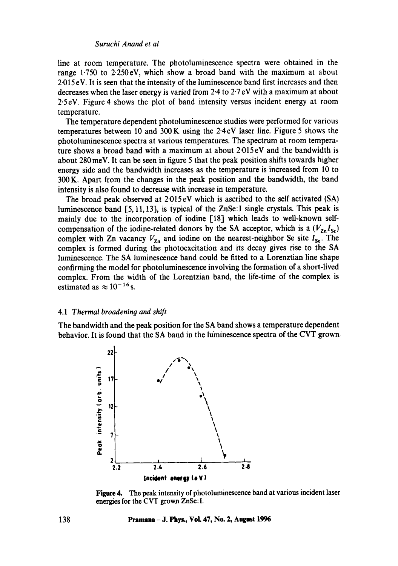line at room temperature. The photoluminescence spectra were obtained in the range 1.750 to 2.250eV, which show a broad band with the maximum at about 2"015 eV. It is seen that the intensity of the luminescence band first increases and then decreases when the laser energy is varied from  $2.4$  to  $2.7 \text{ eV}$  with a maximum at about 2.5eV. Figure 4 shows the plot of band intensity versus incident energy at room temperature.

The temperature dependent photoluminescence studies were performed for various temperatures between 10 and 300 K using the 2.4 eV laser line. Figure 5 shows the photoluminescence spectra at various temperatures. The spectrum at room temperature shows a broad band with a maximum at about 2-015 eV and the bandwidth is about 280 meV. It can be seen in figure 5 that the peak position shifts towards higher energy side and the bandwidth increases as the temperature is increased from 10 to 300 K. Apart from the changes in the peak position and the bandwidth, the band intensity is also found to decrease with increase in temperature.

The broad peak observed at 2.015 eV which is ascribed to the self activated (SA) luminescence band [5, 11,13], is typical of the ZnSe:I single crystals. This peak is mainly due to the incorporation of iodine [18] which leads to well-known selfcompensation of the iodine-related donors by the SA acceptor, which is a  $(V_{Zn} I_{Se})$ complex with Zn vacancy  $V_{\text{Zn}}$  and iodine on the nearest-neighbor Se site  $I_{\text{Se}}$ . The complex is formed during the photoexcitation and its decay gives rise to the SA luminescence. The SA luminescence band could be fitted to a Lorenztian line shape confirming the model for photoluminescence involving the formation of a short-lived complex. From the width of the Lorentzian band, the life-time of the complex is estimated as  $\approx 10^{-16}$  s.

#### *4.1 Thermal broadening and shift*

The bandwidth and the peak position for the SA band shows a temperature dependent behavior. It is found that the SA band in the luminescence spectra of the CVT grown,



**Figure 4.** The peak intensity of photoluminescence band at various incident laser energies for the CVT grown ZnSc:I.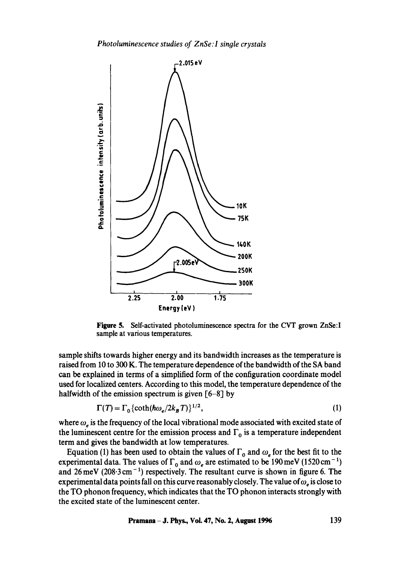

**Figure 5.**  Self-activated photoluminescence spectra for the CVT grown ZnSe:I sample at various temperatures.

sample shifts towards higher energy and its bandwidth increases as the temperature is raised from 10 to 300 K. The temperature dependence of the bandwidth of the SA band can be explained in terms of a simplified form of the configuration coordinate model used for localized centers. According to this model, the temperature dependence of the halfwidth of the emission spectrum is given [6-8] by

$$
\Gamma(T) = \Gamma_0 \{ \coth(\hbar \omega_e / 2k_B T) \}^{1/2},\tag{1}
$$

where  $\omega_e$  is the frequency of the local vibrational mode associated with excited state of the luminescent centre for the emission process and  $\Gamma_0$  is a temperature independent term and gives the bandwidth at low temperatures.

Equation (1) has been used to obtain the values of  $\Gamma_0$  and  $\omega_e$  for the best fit to the experimental data. The values of  $\Gamma_0$  and  $\omega_e$  are estimated to be 190 meV (1520 cm<sup>-1</sup>) and  $26 \text{ meV}$  ( $208.3 \text{ cm}^{-1}$ ) respectively. The resultant curve is shown in figure 6. The experimental data points fall on this curve reasonably closely. The value of  $\omega_e$  is close to the TO phonon frequency, which indicates that the TO phonon interacts strongly with the excited state of the luminescent center.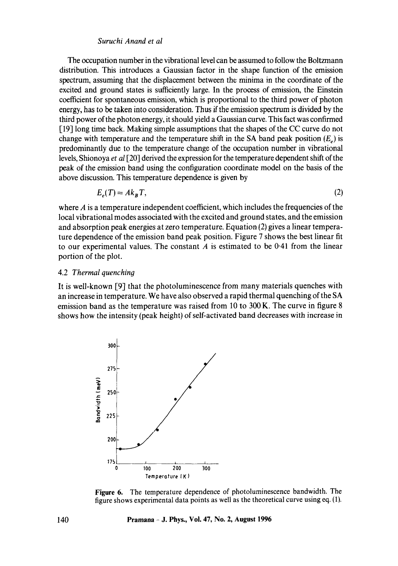## *Suruchi Anand et al*

The occupation number in the vibrational level can be assumed to follow the Boltzmann distribution. This introduces a Gaussian factor in the shape function of the emission spectrum, assuming that the displacement between the minima in the coordinate of the excited and ground states is sufficiently large. In the process of emission, the Einstein coefficient for spontaneous emission, which is proportional to the third power of photon energy, has to be taken into consideration. Thus if the emission spectrum is divided by the third power of the photon energy, it should yield a Gaussian curve. This fact was confirmed [19] long time back. Making simple assumptions that the shapes of the CC curve do not change with temperature and the temperature shift in the SA band peak position  $(E<sub>n</sub>)$  is predominantly due to the temperature change of the occupation number in vibrational levels, Shionoya *et al* [20] derived the expression for the temperature dependent shift of the peak of the emission band using the configuration coordinate model on the basis of the above discussion. This temperature dependence is given by

$$
E_e(T) = Ak_B T,\tag{2}
$$

where  $A$  is a temperature independent coefficient, which includes the frequencies of the local vibrational modes associated with the excited and ground states, and the emission and absorption peak energies at zero temperature. Equation (2) gives a linear temperature dependence of the emission band peak position. Figure 7 shows the best linear fit to our experimental values. The constant  $A$  is estimated to be 0.41 from the linear portion of the plot.

## 4.2 *Thermal quenching*

It is well-known [9] that the photoluminescence from many materials quenches with an increase in temperature. We have also observed a rapid thermal quenching of the SA emission band as the temperature was raised from 10 to 300 K. The curve in figure 8 shows how the intensity (peak height) of self-activated band decreases with increase in



**Figure** 6. The temperature dependence of photoluminescence bandwidth. The figure shows experimental data points as well as the theoretical curve using eq. (1).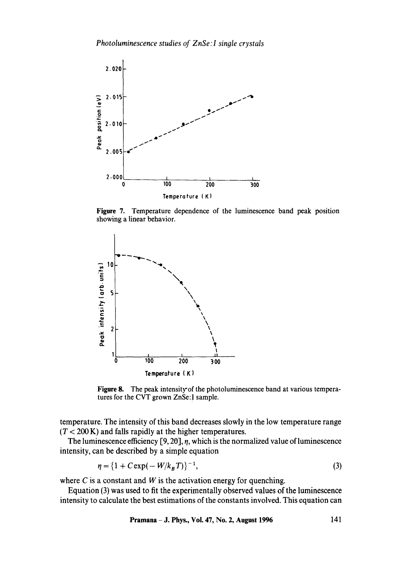

**Figure** 7. Temperature dependence of the luminescence band peak position showing a linear behavior.



Figure 8. The peak intensity of the photoluminescence band at various temperatures for the CVT grown ZnSe: I sample.

temperature. The intensity of this band decreases slowly in the low temperature range  $(T < 200 \text{ K})$  and falls rapidly at the higher temperatures.

The luminescence efficiency  $[9, 20]$ ,  $\eta$ , which is the normalized value of luminescence intensity, can be described by a simple equation

$$
\eta = \{1 + C \exp(-W/k_B T)\}^{-1},\tag{3}
$$

where  $C$  is a constant and  $W$  is the activation energy for quenching.

Equation (3) was used to fit the experimentally observed values of the luminescence intensity to calculate the best estimations of the constants involved. This equation can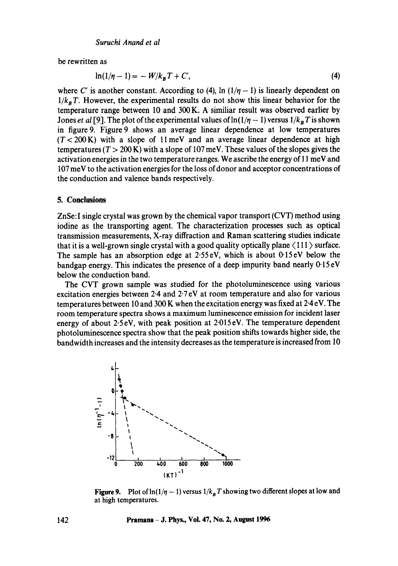be rewritten as

$$
\ln(1/\eta - 1) = -W/k_B T + C',
$$
\n(4)

where C' is another constant. According to (4),  $\ln(1/\eta - 1)$  is linearly dependent on  $1/k<sub>B</sub> T$ . However, the experimental results do not show this linear behavior for the temperature range between 10 and 300 K. A similiar result was observed earlier by Jones *et al* [9]. The plot of the experimental values of  $\ln(1/\eta - 1)$  versus  $1/k_B T$  is shown in figure 9. Figure 9 shows an average linear dependence at low temperatures  $(T < 200 \text{ K})$  with a slope of 11 meV and an average linear dependence at high temperatures ( $T > 200$  K) with a slope of 107 meV. These values of the slopes gives the activation energies in the two temperature ranges. We ascribe the energy of 11 meV and 107 meV to the activation energies for the loss of donor and acceptor concentrations of the conduction and valence bands respectively.

## **5. Conclusions**

ZnSe:I single crystal was grown by the chemical vapor transport (CVT) method using iodine as the transporting agent. The characterization processes such as optical transmission measurements, X-ray diffraction and Raman scattering studies indicate that it is a well-grown single crystal with a good quality optically plane  $\langle 111 \rangle$  surface. The sample has an absorption edge at 2-55eV, which is about 0.15eV below the bandgap energy. This indicates the presence of a deep impurity band nearly  $0.15 \text{ eV}$ below the conduction band.

The CVT grown sample was studied for the photoluminescence using various excitation energies between 2.4 and 2-7 eV at room temperature and also for various temperatures between 10 and 300 K when the excitation energy was fixed at 2.4 eV. The room temperature spectra shows a maximum luminescence emission for incident laser energy of about 2.5 eV, with peak position at 2.015 eV. The temperature dependent photoluminescence spectra show that the peak position shifts towards higher side, the bandwidth increases and the intensity decreases as the temperature is increased from 10



**Figure 9.** Plot of  $\ln(1/\eta - 1)$  versus  $1/k_B T$  showing two different slopes at low and at high temperatures.